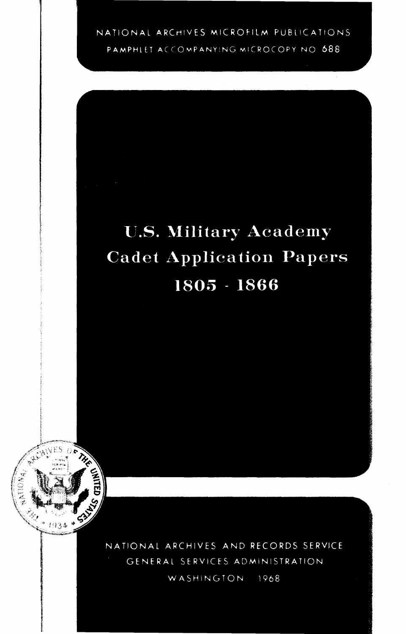NATIONAL ARCHIVES MICROFILM PUBLICATIONS

PAMPHLET ACCOMPANYING MICROCOPY NO 688

## **U.S. Military Academy Cadet Application Papers** 1805 - 1866



NATIONAL ARCHIVES AND RECORDS SERVICE GENERAL SERVICES ADMINISTRATION WASHINGTON. 1968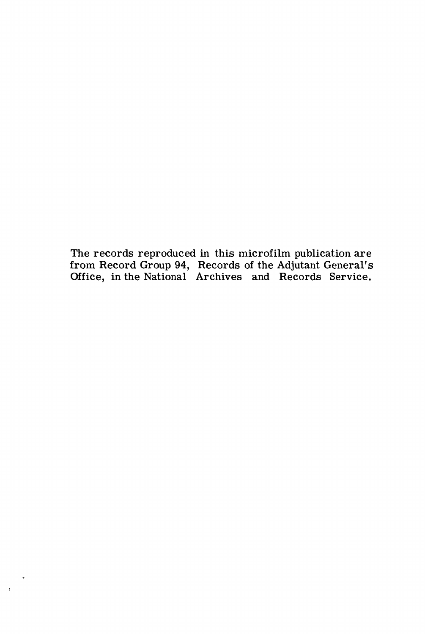The records reproduced in this microfilm publication are from Record Group 94, Records of the Adjutant General's Office, in the National Archives and Records Service.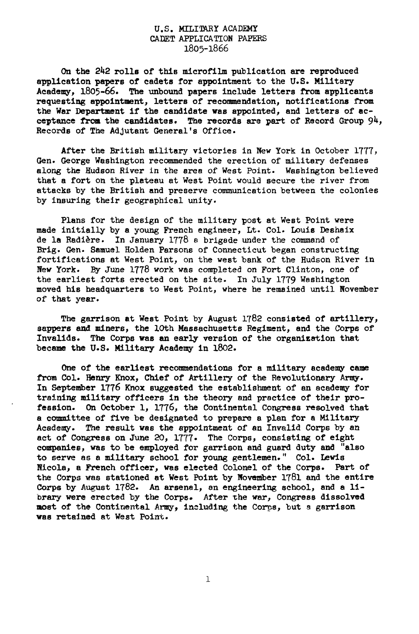## U.S. MILITARY ACADEMY CADET APPLICATION PAPERS 1805-1866

On the 2k2 rolls of this microfilm publication are reproduced application papers of cadets for appointment to the U.S. Military Academy, 1805-66. The unbound papers include letters from applicants requesting appointment, letters of recommendation, notifications from the War Department if the candidate was appointed, and letters of acceptance from the candidates. The records are part of Record Group  $94$ , Records of The Adjutant General's Office.

After the British military victories in New York in October 1777, Gen. George Washington recommended the erection of military defenses along the Hudson River in the area of West Point. Washington believed that a fort on the plateau at West Point would secure the river from attacks by the British and preserve communication between the colonies by insuring their geographical unity.

Plans for the design of the military post at West Point were made initially by a young French engineer, Lt. Col. Louis Deshaix de la Radiere. In January 1778 a brigade under the command of Brig. Gen. Samuel Holden Parsons of Connecticut began constructing fortifications at West Point, on the west bank of the Hudson River in New York. By June 1778 work was completed on Fort Clinton, one of the earliest forts erected on the site. In July 1779 Washington moved his headquarters to West Point, where he remained until November of that year.

The garrison at West Point by August 1782 consisted of artillery, sappers and miners, the 10th Massachusetts Regiment, and the Corps of Invalids. The Corps was an early version of the organization that became the U.S. Military Academy in 1802.

One of the earliest recommendations for a military academy came from Col. Henry Khox, Chief of Artillery of the Revolutionary Army. In September 1776 Knox suggested the establishment of an academy for training military officers in the theory and practice of their profession. On October 1, 1776, the Continental Congress resolved that a committee of five be designated to prepare a plan for a Military Academy. The result was the appointment of an Invalid Corps by an act of Congress on June 20, 1777• The Corps, consisting of eight companies, was to be employed for garrison and guard duty and "also to serve as a military school for young gentlemen." Col. Lewis Nicola, a French officer, was elected Colonel of the Corps. Part of the Corps was stationed at West Point by November 1781 and the entire Corps by August 1782. An arsenal, an engineering school, and a library were erected by the Corps. After the war, Congress dissolved most of the Continental Army, including the Corps, but a garrison was retained at West Point.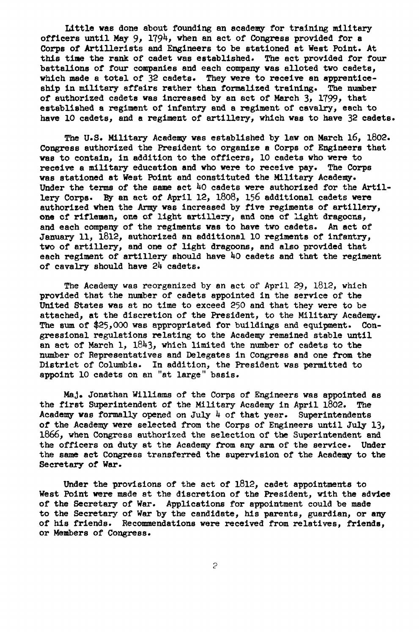Little was done about founding an academy for training military officers until May 9, 1794, when an act of Congress provided for a Corps of Artillerists and Engineers to be stationed at West Point. At this time the rank of cadet was established. The act provided for four battalions of four companies and each company was alloted two cadets, which made a total of 32 cadets. They were to receive an apprenticeship in military affairs rather than formalized training. The number of authorized cadets was increased by an act of March 3, 1799, that established a regiment of infantry and a regiment of cavalry, each to have 10 cadets, and a regiment of artillery, which was to have 32 cadets.

The U.S. Military Academy was established by law on March 16, 1802. Congress authorized the President to organize a Corps of Engineers that was to contain, in addition to the officers, 10 cadets who were to receive a military education and who were to receive pay. The Corps was stationed at West Point and constituted the Military Academy. Under the terms of the same act  $40$  cadets were authorized for the Artillery Corps. By an act of April 12, 1808, 156 additional cadets were authorized when the Army was increased by five regiments of artillery, one of riflemen, one of light artillery, and one of light dragoons, and each company of the regiments was to have two cadets. An act of January 11, 1812, authorized an additional 10 regiments of infantry, two of artillery, and one of light dragoons, and also provided that each regiment of artillery should have  $40$  cadets and that the regiment of cavalry should have 2k cadets.

The Academy was reorganized by an act of April 29, 1812, which provided that the number of cadets appointed in the service of the United States was at no time to exceed 250 and that they were to be attached, at the discretion of the President, to the Military Academy. The sum of \$25,000 was appropriated for buildings and equipment. Congressional regulations relating to the Academy remained stable until an act of March 1,  $1843$ , which limited the number of cadets to the number of Representatives and Delegates in Congress and one from the District of Columbia. In addition, the President was permitted to appoint 10 cadets on an "at large" basis.

MaJ, Jonathan Williams of the Corps of Engineers was appointed as the first Superintendent of the Military Academy in April 1802. The Academy was formally opened on July  $\mu$  of that year. Superintendents of the Academy were selected from the Corps of Engineers until July 13, 1866, when Congress authorized the selection of the Superintendent and the officers on duty at the Academy from any arm of the service. Under the same act Congress transferred the supervision of the Academy to the Secretary of War.

Under the provisions of the act of 1812, cadet appointments to West Point were made at the discretion of the President, with the advice of the Secretary of War. Applications for appointment could be made to the Secretary of War by the candidate, his parents, guardian, or any of his friends. Recommendations were received from relatives, friends, or Members of Congress.

 $\mathcal{L}_{\mathcal{L}}$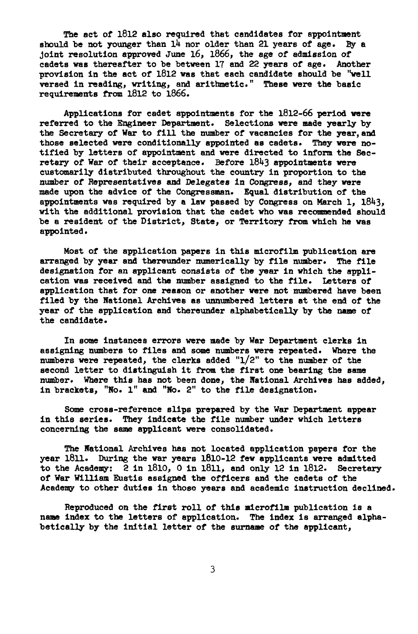The act of 1812 also required that candidates for appointment<br>d be not younger than 14 nor older than 21 years of age. By a should be not younger than  $14$  nor older than 21 years of age. joint resolution approved June 16, 1866, the age of admission of cadets was thereafter to be between 17 and 22 years of age. Another provision in the act of 1812 was that each candidate should be "well versed in reading, writing, and arithmetic." These were the basic requirements from 1812 to 1866.

Applications for cadet appointments for the 1812-66 period were referred to the Engineer Department. Selections were made yearly by the Secretary of War to fill the number of vacancies for the year, and those selected were conditionally appointed as cadets. They were notified by letters of appointment and were directed to inform the Secretary of War of their acceptance. Before 1843 appointments were customarily distributed throughout the country in proportion to the number of Representatives and Delegates in Congress, and they were made upon the advice of the Congressman. Equal distribution of the appointments was required by a law passed by Congress on March 1,  $1843$ , with the additional provision that the cadet who was recommended should be a resident of the District, State, or Territory from which he was appointed.

Most of the application papers in this microfilm publication are arranged by year and thereunder numerically by file number. The file designation for an applicant consists of the year in which the application was received and the number assigned to the file. Letters of application that for one reason or another were not numbered have been filed by the National Archives as unnumbered letters at the end of the year of the application and thereunder alphabetically by the name of the candidate.

In some instances errors were made by War Department clerks in assigning numbers to files and some numbers were repeated. Where the numbers were repeated, the clerks added "1/2" to the number of the second letter to distinguish it from the first one bearing the same number. Where this has not been done, the National Archives has added, in brackets, "No. 1" and "No. 2" to the file designation.

Some cross-reference slips prepared by the War Department appear in this series. They Indicate the file number under which letters concerning the same applicant were consolidated.

The National Archives has not located application papers for the year l8ll. During the war years 1810-12 few applicants were admitted to the Academy: 2 in 1810, 0 In l8ll, and only 12 in 1812. Secretary of War William Eustis assigned the officers and the cadets of the Academy to other duties In those years and academic instruction declined.

Reproduced on the first roll of this microfilm publication is a name index to the letters of application. The Index is arranged alphabetically by the initial letter of the surname of the applicant,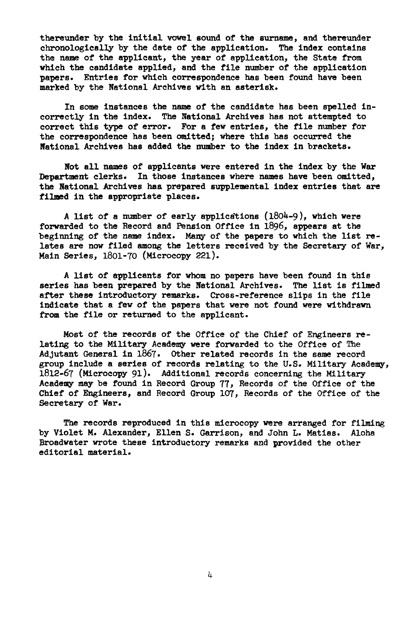thereunder by the initial vowel sound of the surname, and thereunder chronologically by the date of the application. The index contains the name of the applicant, the year of application, the State from which the candidate applied, and the file number of the application papers. Entries for which correspondence has been found have been marked by the National Archives with an asterisk.

In some instances the name of the candidate has been spelled incorrectly in the index. The National Archives has not attempted to correct this type of error. For a few entries, the file number for the correspondence has been omitted; where this has occurred the National Archives has added the number to the index in brackets.

Not all names of applicants were entered in the index by the War Department clerks. In those instances where names have been omitted, the National Archives has prepared supplemental index entries that are filmed in the appropriate places.

A list of a number of early applications  $(1804-9)$ , which were forwarded to the Record and Pension Office in 1896, appears at the beginning of the name index. Many of the papers to which the list relates are now filed among the letters received by the Secretary of War, Main Series, 1801-70 (Microcopy 221).

A list of applicants for whom no papers have been found in this series has been prepared by the National Archives. The list is filmed after these introductory remarks. Cross-reference slips in the file indicate that a few of the papers that were not found were withdrawn from the file or returned to the applicant.

Most of the records of the Office of the Chief of Engineers relating to the Military Academy were forwarded to the Office of The Adjutant General in 1867. Other related records In the same record group include a series of records relating to the U.S. Military Academy, 1812-67 (Microcopy 91). Additional records concerning the Military Academy may be found in Record Group 77, Records of the Office of the Chief of Engineers, and Record Group 107, Records of the Office of the Secretary of War.

The records reproduced in this microcopy were arranged for filming by Violet M. Alexander, Ellen S. Garrison, and John L. Matias. Aloha Broadwater wrote these introductory remarks and provided the other editorial material.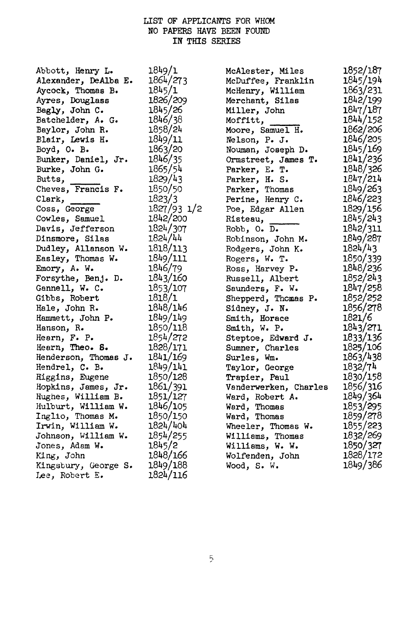## LIST OF APPLICANTS FOR WHOM NO PAPERS HAVE BEEN FOUND IN THIS SERIES

| Abbott, Henry L.     | 1849/1      | McAlester, Miles      | 1852/187 |
|----------------------|-------------|-----------------------|----------|
| Alexander, DeAlba E. | 1864/273    | McDuffee, Franklin    | 1845/194 |
| Aycock, Thomas B.    | 1845/1      | McHenry, William      | 1863/231 |
| Ayres, Douglass      | 1826/209    | Merchant, Silas       | 1842/199 |
| Bagly, John C.       | 1845/26     | Miller, John          | 1847/187 |
| Batchelder, A. G.    | 1846/38     | Moffitt,              | 1844/152 |
| Baylor, John R.      | 1858/24     | Moore, Samuel H.      | 1862/206 |
| Blair, Lewis H.      | 1849/11     | Nelson, P. J.         | 1846/205 |
| Boyd, O. B.          | 1863/20     | Nouman, Joseph D.     | 1845/169 |
| Bunker, Daniel, Jr.  | 1846/35     | Ormstreet, James T.   | 1841/236 |
| Burke, John G.       | 1865/54     | Parker, E. T.         | 1848/326 |
| Butts,               | 1829/43     | Parker, H. S.         | 1847/214 |
| Cheves, Francis F.   | 1850/50     | Parker, Thomas        | 1849/263 |
| Clark,               | 1823/3      | Perine, Henry C.      | 1846/223 |
| Coss, George         | 1827/93 1/2 | Poe, Edgar Allen      | 1829/156 |
| Cowles, Samuel       | 1842/200    | Risteau,              | 1845/243 |
| Davis, Jefferson     | 1824/307    | Robb, O. D.           | 1842/311 |
| Dinsmore, Silas      | 1824/44     | Robinson, John M.     | 1849/287 |
| Dudley, Allanson W.  | 1818/113    | Rodgers, John K.      | 1824/43  |
| Easley, Thomas W.    | 1849/111    | Rogers, W. T.         | 1850/339 |
| Emory, A. W.         | 1846/79     | Ross, Harvey P.       | 1848/236 |
| Forsythe, Benj. D.   | 1843/160    | Russell, Albert       | 1852/243 |
| Gannell, W. C.       | 1853/107    | Saunders, F. W.       | 1847/258 |
| Gibbs, Robert        | 1818/1      | Shepperd, Thomas P.   | 1852/252 |
| Hale, John R.        | 1848/146    | Sidney, J. N.         | 1856/278 |
| Hammett, John P.     | 1849/149    | Smith, Horace         | 1821/6   |
| Hanson, R.           | 1850/118    | Smith, W. P.          | 1843/271 |
| Hearn, F. P.         | 1854/272    | Steptoe, Edward J.    | 1833/136 |
| Hearn, Theo. S.      | 1828/171    | Sumner, Charles       | 1825/106 |
| Henderson, Thomas J. | 1841/169    | Surles, Wm.           | 1863/438 |
| Hendrel, C. B.       | 1849/141    | Taylor, George        | 1832/74  |
| Higgins, Eugene      | 1850/128    | Trapier, Paul         | 1830/158 |
| Hopkins, James, Jr.  | 1861/391    | Vanderwerken, Charles | 1856/316 |
| Hughes, William B.   | 1851/127    | Ward, Robert A.       | 1849/364 |
| Hulburt, William W.  | 1846/105    | Ward, Thomas          | 1853/295 |
| Inglio, Thomas M.    | 1850/150    | Ward, Thomas          | 1859/278 |
| Irwin, William W.    | 1824/404    | Wheeler, Thomas W.    | 1855/223 |
| Johnson, William W.  | 1854/255    | Williams, Thomas      | 1832/269 |
| Jones, Adam W.       | 1845/2      | Williams, W. W.       | 1850/327 |
| King, John           | 1848/166    | Wolfenden, John       | 1828/172 |
| Kingsbury, George S. | 1849/188    | Wood, S. W.           | 1849/386 |
| Lee, Robert E.       | 1824/116    |                       |          |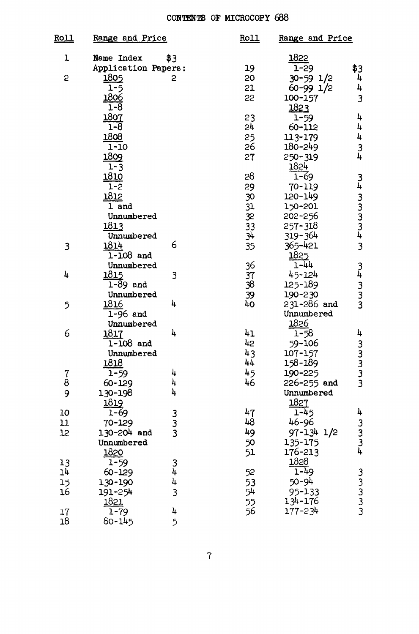## CONTENTS OF MICROCOPY 688

| <b>Roll</b> | Range and Price     |               | <b>Roll</b> | Range and Price  |                 |
|-------------|---------------------|---------------|-------------|------------------|-----------------|
| ı           | Name Index          | \$3           |             | 1822             |                 |
|             | Application Papers: |               | 19          | $1 - 29$         | \$3             |
| 5           | 1805                | 2             | 20          | 30-59 1/2        | 4               |
|             | $1 - 5$             |               | 21          | 60-99 1/2        | 4               |
|             | 1806                |               | 55          | 100-157          | 3               |
|             | 1-8                 |               |             | 1823             |                 |
|             | 1807                |               | 23          | $1 - 59$         | 4               |
|             | 1-8                 |               | 24          | 60-112           | 4               |
|             | 1808                |               | 25          | 113-179          | 4               |
|             | 1-10                |               | 26          | 180-249          | $\frac{3}{4}$   |
|             | 1809                |               | 27          | 250-319          |                 |
|             | $1 - 3$             |               |             | 1824             |                 |
|             | 1810                |               | 28          | 1-69             |                 |
|             | $1 - 2$             |               | 29          | 70-119           |                 |
|             | 1812                |               | 30          | 120-149          |                 |
|             | 1 and               |               | 31          | 150-201          |                 |
|             | Unnumbered          |               | 32          | 202-256          |                 |
|             | 1813                |               | 33          | 257-318          |                 |
|             | Unnumbered          |               | 34          | 319-364          |                 |
| 3           | 1814                | 6             | 35          | 365-421          | <b>34333343</b> |
|             | $1 - 108$ and       |               |             | 1825             |                 |
|             | Unnumbered          |               | 36          | 1-44             |                 |
| 4           | 1815                | 3             | 37          | 45-124           |                 |
|             | $1 - 89$ and        |               | 38          | 125-189          |                 |
|             | Unnumbered          |               | 39          | 190-230          |                 |
| 5           | 1816                | 4             | 40          | $231 - 286$ and  | 34333           |
|             | $1-96$ and          |               |             | Unnumbered       |                 |
|             | Unnumbered          |               |             | 1826             |                 |
| 6           | 1817                | 4             | 41          | $1 - 58$         | 4               |
|             | 1-108 and           |               | 42          | 59-106           |                 |
|             | Unnumbered          |               | 43          | 107-157          |                 |
|             | 1818                |               | 44          | 158-189          |                 |
| 7           | $1 - 59$            | 4             | 45          | 190-225          |                 |
| ġ           | 60-129              | 4             | 46          | 226-255 and      | 33333           |
| 9           | 130-198             | 4             |             | Unnumbered       |                 |
|             | 1819                |               |             | 1827             |                 |
| 10          | $1 - 69$            |               | 47          | $1 - 45$         | 4               |
| 11          | 70-129              |               | 48          | 46-96            |                 |
| 12          | 130-204 and         | 3<br>3<br>3   | 49          | $97 - 134$ $1/2$ | $3$ $3$ $4$     |
|             | Unnumbered          |               | 50          | 135-175          |                 |
|             | 1820                |               | 51          | 176-213          |                 |
| 13          | $1 - 59$            |               |             | 1828             |                 |
| 14          | 60-129              | $\frac{3}{4}$ | 52          | 1-49             |                 |
|             | 130-190             | 4             | 53          | 50-94            |                 |
| 15<br>16    | 191-254             | 3             | 54          | 95-133           |                 |
|             | 1821                |               | 55          | 134-176          |                 |
| 17          | 1-79                | 4             | 56          | 177-234          | ີນມູນມູ         |
| 18          | 80-145              | 5             |             |                  |                 |
|             |                     |               |             |                  |                 |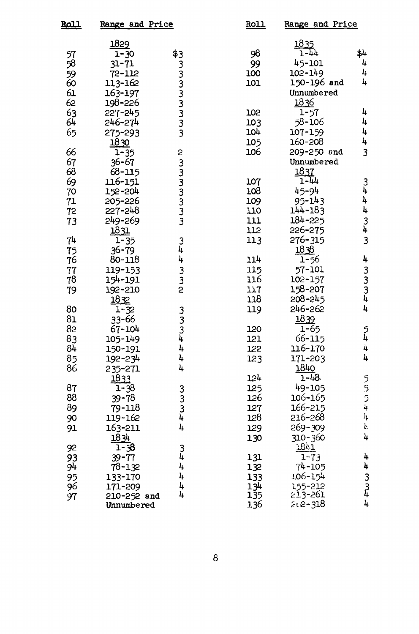| <u> Roll</u><br>Range and Price |                 | <b>Roll</b>                                | <b>Range and Price</b> |                     |                                       |
|---------------------------------|-----------------|--------------------------------------------|------------------------|---------------------|---------------------------------------|
|                                 | 1829            |                                            |                        | $\frac{1835}{1-44}$ |                                       |
| 57                              | 1-30            |                                            | 98                     |                     | \$4                                   |
| 58                              | 31-71           |                                            | 99                     | 45-101              | 4                                     |
| 59<br>60                        | 72-112          |                                            | 100                    | 102-149             | 4                                     |
|                                 | 113-162         |                                            | 101                    | 150-196 and         | 4                                     |
| 61                              | 163-197         | <b>43</b><br>เมินนนนนน                     |                        | Unnumbered          |                                       |
| 62                              | 198-226         |                                            |                        | 1836                |                                       |
|                                 | 227-245         |                                            | 102                    | $1 - 57$            | 4                                     |
| $rac{63}{64}$                   | 246-274         |                                            | 103                    | 58-106              | 4                                     |
| 65                              | 275-293         |                                            | 104                    | 107-159             | 4                                     |
|                                 | 1830            |                                            | 105                    | 160-208             | 4                                     |
| 66                              | $1 - 35$        |                                            | 106                    | 209-250 and         | 3                                     |
| 67                              | $36 - 67$       | <b>N W W W W W W</b>                       |                        | Unnumbered          |                                       |
| 68                              | $68 - 115$      |                                            |                        | 1837                |                                       |
| 69                              | 116-151         |                                            | 107                    | $1 - 44$            |                                       |
| 70                              | 152-204         |                                            | 108                    | 45-94               | $\frac{3}{4}$                         |
| 71                              | 205-226         |                                            | 109                    | 95-143              | 4                                     |
| 72                              | 227-248         |                                            | 110                    | 144-183             | 4                                     |
| 73                              | 249-269         |                                            | 111                    | 184-225             |                                       |
|                                 | 1831            |                                            | 112                    | 226-275             |                                       |
| 74                              | $1 - 35$        |                                            | 113                    | 276-315             | $\begin{array}{c} 3 \\ 3 \end{array}$ |
| 75                              | $36 - 79$       | 3<br>4                                     |                        | 1838                |                                       |
| 76                              | 80-118          | 4                                          | 114                    | $1 - 56$            | 4                                     |
| 77                              | 119-153         |                                            | 115                    | 57-101              |                                       |
| 78                              | 154-191         | З<br>З                                     | 116                    | 102-157             |                                       |
| 79                              | 192-210         | 2                                          | 117                    | 158-207             |                                       |
|                                 | 1832            |                                            | 118                    | $208 - 245$         | 3<br>4<br>4<br>4                      |
| 80                              | $1 - 32$        |                                            | 119                    | 246-262             | 4                                     |
| 81                              | 33-66           | $\begin{array}{c} 3 \\ 3 \\ 4 \end{array}$ |                        | 1839                |                                       |
| 82                              | 67-104          |                                            | 120                    | $1 - 65$            |                                       |
| 83                              | 105-149         |                                            | 121                    | 66-115              | ر<br>4                                |
| 84                              | 150-191         | 4                                          | 122                    | 116-170             | 4                                     |
| 85                              | 192-234         | 4                                          | 123                    | 171-203             | 4                                     |
| 86                              |                 | 4                                          |                        | 1840                |                                       |
|                                 | 235-271<br>1833 |                                            | 124                    | $1 - 48$            |                                       |
| 87                              |                 |                                            | 125                    | 49-105              | ううら4                                  |
| 88                              | 1-38            | 3<br>3<br>3<br>4                           | 126                    | 106-165             |                                       |
|                                 | $39 - 78$       |                                            |                        | 166-215             |                                       |
| 89                              | 79-118          |                                            | 127                    | 216-268             | $t_{\rm f}$                           |
| 90                              | 119-162         |                                            | 128                    |                     | $\mathbf{h}$                          |
| 91                              | 163-211         | 4                                          | 129                    | 269-309             |                                       |
|                                 | 1834            |                                            | 130                    | 310-360             | 4                                     |
| 92                              | $1 - 38$        | 3<br>4                                     |                        | <u> 1841 </u>       |                                       |
| 93                              | $39 - 77$       |                                            | 131                    | $1 - 73$            | 4                                     |
| 94                              | 78-132          | 4                                          | 132                    | $74 - 105$          |                                       |
| 95                              | 133-170         | 4                                          | 133                    | 106-154             |                                       |
| 96                              | 171-209         | 4                                          | 134                    | 155-212<br>213-261  | $4$<br>$3$<br>$4$<br>$4$              |
| 97                              | 210-252 and     | 4                                          | 135                    |                     |                                       |
|                                 | Unnumbered      |                                            | 136                    | 202-318             |                                       |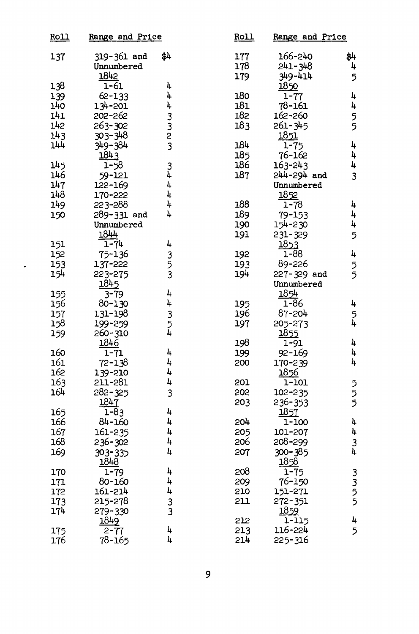| <u>Roll</u> | Range and Price |               | Roll | Range and Price  |               |
|-------------|-----------------|---------------|------|------------------|---------------|
| 137         | 319-361 and     | \$4           | 177  | 166-240          | \$4           |
|             | Unnumbered      |               | 178  | 241-348          | 4             |
|             | 1842            |               | 179  | 349-414          | 5             |
| 138         | $1 - 61$        | 4             |      | 1850             |               |
| 139         | 62-133          | 4             | 180  | $1 - 77$         | 4             |
| 140         | 134-201         | 4             | 181  | 78-161           | 4             |
| 141         | 202-262         |               | 182  | 162-260          |               |
| 142         | 263-302         | 3<br>2<br>2   | 183  | 261-345          | 5             |
| 143         | 303-348         |               |      | 1851             |               |
| 144         | 349-384         | 3             | 184  | $1 - 75$         | 4             |
|             | 1843            |               | 185  | 76-162           | 4             |
| 145         | 1-58            | $\frac{3}{4}$ | 186  | 163-243          | 4             |
| 146         | 59-121          |               | 187  | 244-294 and      | 3             |
| 147         | 122-169         | 4             |      | Unnumbered       |               |
| 148         | 170-222         | 4             |      | 1852             |               |
| 149         | 223-288         | 4             | 188  | $1 - 78$         | 4             |
| 150         | 289-331 and     | 4             | 189  | 79-153           | 4             |
|             | Unnumbered      |               | 190  | 154-230          | 4             |
|             | 1844            |               | 191  | 231-329          | 5             |
| 151         | $1 - 74$        | 4             |      | 1853             |               |
| 152         | 75-136          |               | 192  | 1-88             | 4             |
| 153         | 137-222         | 3<br>5<br>3   | 193  | 89-226           | 5             |
| 154         | 223-275         |               | 194  | 227-329 and      |               |
|             | 1845            |               |      | Unnumbered       |               |
| 155         | $3 - 79$        | 4             |      | 1854             |               |
| 156         | 80-130          | 4             | 195  | $1 - 86$         | 4             |
| 157         | 131-198         | 3<br>5<br>4   | 196  | 87-204           | 5<br>4        |
| 158         | 199-259         |               | 197  | 205-273          |               |
| 159         | 260-310         |               |      | 1855             |               |
|             | 1846            |               | 198  | 1-91             | 4             |
| 160         | $1 - 71$        | 4             | 199  | 92-169           | 4             |
| 161         | 72-138          | 4             | 200  | 170-239          | 4             |
| 162         | 139-210         | 4             |      | 1856             |               |
| 163         | 211-281         | 4             | 201  | 1-101            | ううう           |
| 164         | 282-325         | 3             | 202  | 102-235          |               |
|             | 1847            |               | 203  | 236-353          |               |
| 165         | $1 - 83$        | 4             |      | 1857             |               |
| 166         | 84-160          | 4             | 204  | 1-100            | 4             |
| 167         | 161-235         | 4             | 205  | 101-207          | 4             |
| 168         | 236-302         | 4             | 206  | 208-299          | $\frac{3}{4}$ |
| 169         | 303-335         | 4             | 207  | 300-385          |               |
|             | 1848            |               |      | 1858             |               |
| 170         | $1 - 79$        | 4             | 208  | $1 - 75$         | 3355          |
| 171         | 80-160          | 4             | 209  | 76-150           |               |
| 172         | 161-214         | 4             | 210  | 151-271          |               |
| 173         | 215-278         | 3             | 211  | 272-351          |               |
| 174         | 279-330         | 3             |      | 1859             |               |
|             | 1849            |               | 212  | 1-115<br>116-224 | 4             |
| 175         | $2 - 77$        | 4<br>4        | 213  |                  | 5             |
| 176         | 78-165          |               | 214  | 225-316          |               |

 $\bullet$